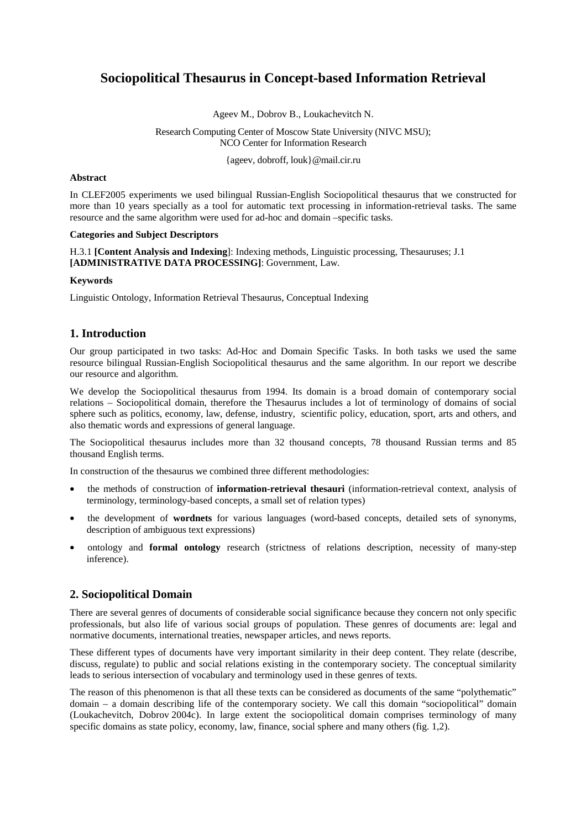# **Sociopolitical Thesaurus in Concept-based Information Retrieval**

Ageev M., Dobrov B., Loukachevitch N.

Research Computing Center of Moscow State University (NIVC MSU); NCO Center for Information Research

{ageev, dobroff, louk}@mail.cir.ru

#### **Abstract**

In CLEF2005 experiments we used bilingual Russian-English Sociopolitical thesaurus that we constructed for more than 10 years specially as a tool for automatic text processing in information-retrieval tasks. The same resource and the same algorithm were used for ad-hoc and domain –specific tasks.

#### **Categories and Subject Descriptors**

H.3.1 **[Content Analysis and Indexing**]: Indexing methods, Linguistic processing, Thesauruses; J.1 **[ADMINISTRATIVE DATA PROCESSING]**: Government, Law.

#### **Keywords**

Linguistic Ontology, Information Retrieval Thesaurus, Conceptual Indexing

# **1. Introduction**

Our group participated in two tasks: Ad-Hoc and Domain Specific Tasks. In both tasks we used the same resource bilingual Russian-English Sociopolitical thesaurus and the same algorithm. In our report we describe our resource and algorithm.

We develop the Sociopolitical thesaurus from 1994. Its domain is a broad domain of contemporary social relations – Sociopolitical domain, therefore the Thesaurus includes a lot of terminology of domains of social sphere such as politics, economy, law, defense, industry, scientific policy, education, sport, arts and others, and also thematic words and expressions of general language.

The Sociopolitical thesaurus includes more than 32 thousand concepts, 78 thousand Russian terms and 85 thousand English terms.

In construction of the thesaurus we combined three different methodologies:

- the methods of construction of **information-retrieval thesauri** (information-retrieval context, analysis of terminology, terminology-based concepts, a small set of relation types)
- the development of **wordnets** for various languages (word-based concepts, detailed sets of synonyms, description of ambiguous text expressions)
- ontology and **formal ontology** research (strictness of relations description, necessity of many-step inference).

# **2. Sociopolitical Domain**

There are several genres of documents of considerable social significance because they concern not only specific professionals, but also life of various social groups of population. These genres of documents are: legal and normative documents, international treaties, newspaper articles, and news reports.

These different types of documents have very important similarity in their deep content. They relate (describe, discuss, regulate) to public and social relations existing in the contemporary society. The conceptual similarity leads to serious intersection of vocabulary and terminology used in these genres of texts.

The reason of this phenomenon is that all these texts can be considered as documents of the same "polythematic" domain – a domain describing life of the contemporary society. We call this domain "sociopolitical" domain (Loukachevitch, Dobrov 2004c). In large extent the sociopolitical domain comprises terminology of many specific domains as state policy, economy, law, finance, social sphere and many others (fig. 1,2).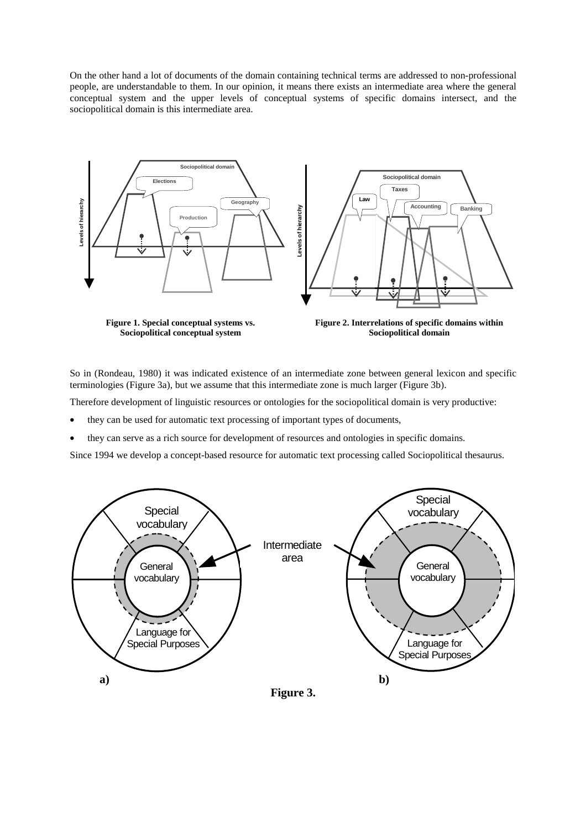On the other hand a lot of documents of the domain containing technical terms are addressed to non-professional people, are understandable to them. In our opinion, it means there exists an intermediate area where the general conceptual system and the upper levels of conceptual systems of specific domains intersect, and the sociopolitical domain is this intermediate area.



**Sociopolitical conceptual system** 

**Sociopolitical domain** 

So in (Rondeau, 1980) it was indicated existence of an intermediate zone between general lexicon and specific terminologies (Figure 3a), but we assume that this intermediate zone is much larger (Figure 3b).

Therefore development of linguistic resources or ontologies for the sociopolitical domain is very productive:

- they can be used for automatic text processing of important types of documents,
- they can serve as a rich source for development of resources and ontologies in specific domains.

Since 1994 we develop a concept-based resource for automatic text processing called Sociopolitical thesaurus.

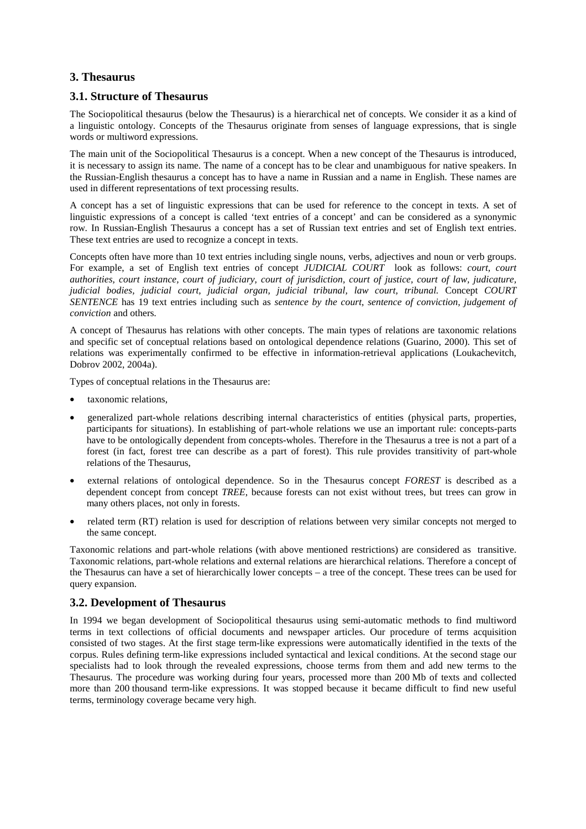## **3. Thesaurus**

## **3.1. Structure of Thesaurus**

The Sociopolitical thesaurus (below the Thesaurus) is a hierarchical net of concepts. We consider it as a kind of a linguistic ontology. Concepts of the Thesaurus originate from senses of language expressions, that is single words or multiword expressions.

The main unit of the Sociopolitical Thesaurus is a concept. When a new concept of the Thesaurus is introduced, it is necessary to assign its name. The name of a concept has to be clear and unambiguous for native speakers. In the Russian-English thesaurus a concept has to have a name in Russian and a name in English. These names are used in different representations of text processing results.

A concept has a set of linguistic expressions that can be used for reference to the concept in texts. A set of linguistic expressions of a concept is called 'text entries of a concept' and can be considered as a synonymic row. In Russian-English Thesaurus a concept has a set of Russian text entries and set of English text entries. These text entries are used to recognize a concept in texts.

Concepts often have more than 10 text entries including single nouns, verbs, adjectives and noun or verb groups. For example, a set of English text entries of concept *JUDICIAL COURT* look as follows: *court, court authorities, court instance, court of judiciary, court of jurisdiction, court of justice, court of law, judicature, judicial bodies, judicial court, judicial organ, judicial tribunal, law court, tribunal.* Concept *COURT SENTENCE* has 19 text entries including such as *sentence by the court*, *sentence of conviction, judgement of conviction* and others*.* 

A concept of Thesaurus has relations with other concepts. The main types of relations are taxonomic relations and specific set of conceptual relations based on ontological dependence relations (Guarino, 2000). This set of relations was experimentally confirmed to be effective in information-retrieval applications (Loukachevitch, Dobrov 2002, 2004a).

Types of conceptual relations in the Thesaurus are:

- taxonomic relations,
- generalized part-whole relations describing internal characteristics of entities (physical parts, properties, participants for situations). In establishing of part-whole relations we use an important rule: concepts-parts have to be ontologically dependent from concepts-wholes. Therefore in the Thesaurus a tree is not a part of a forest (in fact, forest tree can describe as a part of forest). This rule provides transitivity of part-whole relations of the Thesaurus,
- external relations of ontological dependence. So in the Thesaurus concept *FOREST* is described as a dependent concept from concept *TREE*, because forests can not exist without trees, but trees can grow in many others places, not only in forests.
- related term (RT) relation is used for description of relations between very similar concepts not merged to the same concept.

Taxonomic relations and part-whole relations (with above mentioned restrictions) are considered as transitive. Taxonomic relations, part-whole relations and external relations are hierarchical relations. Therefore a concept of the Thesaurus can have a set of hierarchically lower concepts – a tree of the concept. These trees can be used for query expansion.

## **3.2. Development of Thesaurus**

In 1994 we began development of Sociopolitical thesaurus using semi-automatic methods to find multiword terms in text collections of official documents and newspaper articles. Our procedure of terms acquisition consisted of two stages. At the first stage term-like expressions were automatically identified in the texts of the corpus. Rules defining term-like expressions included syntactical and lexical conditions. At the second stage our specialists had to look through the revealed expressions, choose terms from them and add new terms to the Thesaurus. The procedure was working during four years, processed more than 200 Mb of texts and collected more than 200 thousand term-like expressions. It was stopped because it became difficult to find new useful terms, terminology coverage became very high.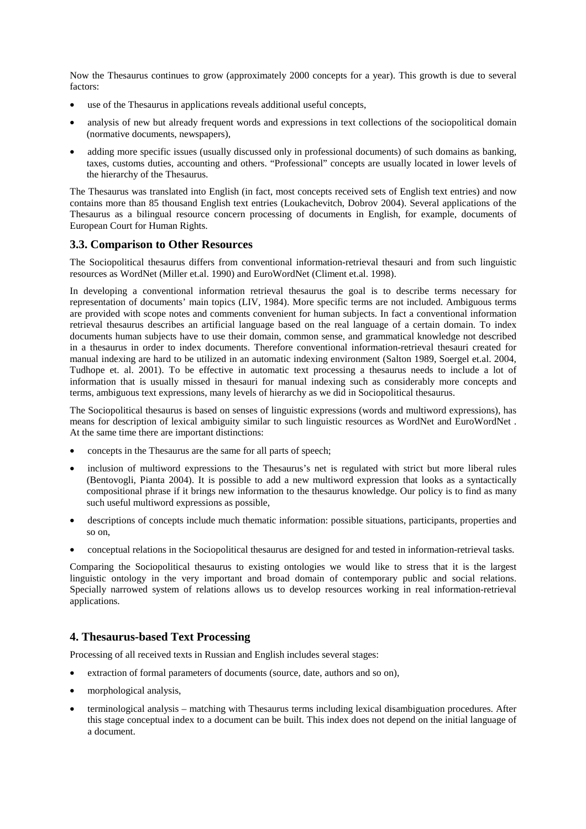Now the Thesaurus continues to grow (approximately 2000 concepts for a year). This growth is due to several factors:

- use of the Thesaurus in applications reveals additional useful concepts,
- analysis of new but already frequent words and expressions in text collections of the sociopolitical domain (normative documents, newspapers),
- adding more specific issues (usually discussed only in professional documents) of such domains as banking, taxes, customs duties, accounting and others. "Professional" concepts are usually located in lower levels of the hierarchy of the Thesaurus.

The Thesaurus was translated into English (in fact, most concepts received sets of English text entries) and now contains more than 85 thousand English text entries (Loukachevitch, Dobrov 2004). Several applications of the Thesaurus as a bilingual resource concern processing of documents in English, for example, documents of European Court for Human Rights.

#### **3.3. Comparison to Other Resources**

The Sociopolitical thesaurus differs from conventional information-retrieval thesauri and from such linguistic resources as WordNet (Miller et.al. 1990) and EuroWordNet (Climent et.al. 1998).

In developing a conventional information retrieval thesaurus the goal is to describe terms necessary for representation of documents' main topics (LIV, 1984). More specific terms are not included. Ambiguous terms are provided with scope notes and comments convenient for human subjects. In fact a conventional information retrieval thesaurus describes an artificial language based on the real language of a certain domain. To index documents human subjects have to use their domain, common sense, and grammatical knowledge not described in a thesaurus in order to index documents. Therefore conventional information-retrieval thesauri created for manual indexing are hard to be utilized in an automatic indexing environment (Salton 1989, Soergel et.al. 2004, Tudhope et. al. 2001). To be effective in automatic text processing a thesaurus needs to include a lot of information that is usually missed in thesauri for manual indexing such as considerably more concepts and terms, ambiguous text expressions, many levels of hierarchy as we did in Sociopolitical thesaurus.

The Sociopolitical thesaurus is based on senses of linguistic expressions (words and multiword expressions), has means for description of lexical ambiguity similar to such linguistic resources as WordNet and EuroWordNet . At the same time there are important distinctions:

- concepts in the Thesaurus are the same for all parts of speech;
- inclusion of multiword expressions to the Thesaurus's net is regulated with strict but more liberal rules (Bentovogli, Pianta 2004). It is possible to add a new multiword expression that looks as a syntactically compositional phrase if it brings new information to the thesaurus knowledge. Our policy is to find as many such useful multiword expressions as possible,
- descriptions of concepts include much thematic information: possible situations, participants, properties and so on,
- conceptual relations in the Sociopolitical thesaurus are designed for and tested in information-retrieval tasks.

Comparing the Sociopolitical thesaurus to existing ontologies we would like to stress that it is the largest linguistic ontology in the very important and broad domain of contemporary public and social relations. Specially narrowed system of relations allows us to develop resources working in real information-retrieval applications.

## **4. Thesaurus-based Text Processing**

Processing of all received texts in Russian and English includes several stages:

- extraction of formal parameters of documents (source, date, authors and so on),
- morphological analysis,
- terminological analysis matching with Thesaurus terms including lexical disambiguation procedures. After this stage conceptual index to a document can be built. This index does not depend on the initial language of a document.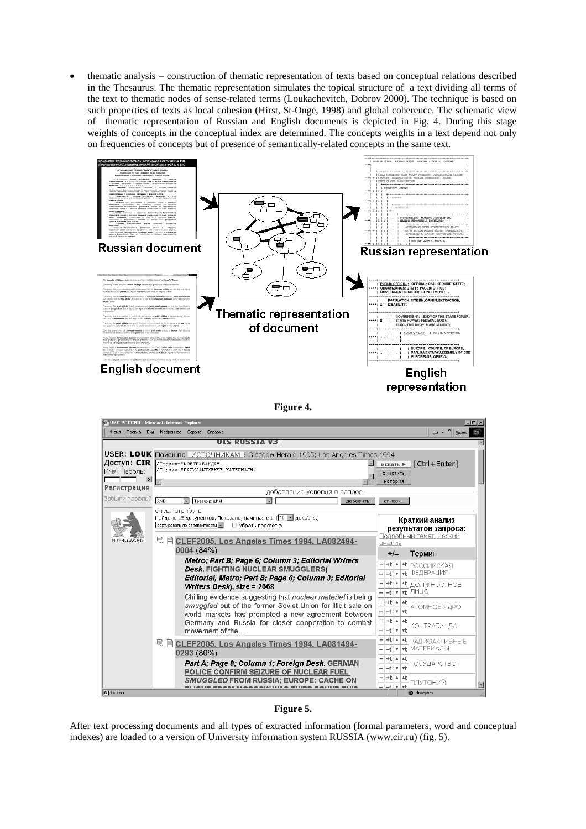• thematic analysis – construction of thematic representation of texts based on conceptual relations described in the Thesaurus. The thematic representation simulates the topical structure of a text dividing all terms of the text to thematic nodes of sense-related terms (Loukachevitch, Dobrov 2000). The technique is based on such properties of texts as local cohesion (Hirst, St-Onge, 1998) and global coherence. The schematic view of thematic representation of Russian and English documents is depicted in Fig. 4. During this stage weights of concepts in the conceptual index are determined. The concepts weights in a text depend not only on frequencies of concepts but of presence of semantically-related concepts in the same text.



**Figure 4.** 



**Figure 5.** 

After text processing documents and all types of extracted information (formal parameters, word and conceptual indexes) are loaded to a version of University information system RUSSIA (www.cir.ru) (fig. 5).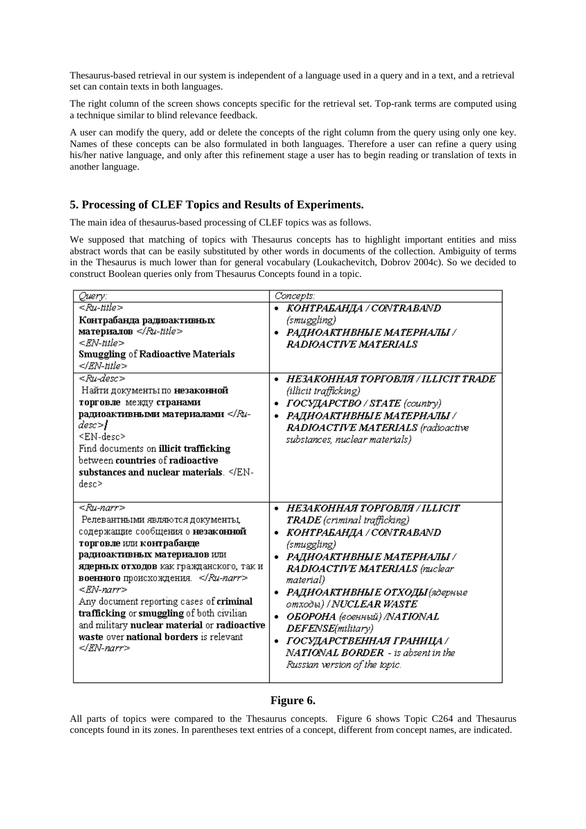Thesaurus-based retrieval in our system is independent of a language used in a query and in a text, and a retrieval set can contain texts in both languages.

The right column of the screen shows concepts specific for the retrieval set. Top-rank terms are computed using a technique similar to blind relevance feedback.

A user can modify the query, add or delete the concepts of the right column from the query using only one key. Names of these concepts can be also formulated in both languages. Therefore a user can refine a query using his/her native language, and only after this refinement stage a user has to begin reading or translation of texts in another language.

# **5. Processing of CLEF Topics and Results of Experiments.**

The main idea of thesaurus-based processing of CLEF topics was as follows.

We supposed that matching of topics with Thesaurus concepts has to highlight important entities and miss abstract words that can be easily substituted by other words in documents of the collection. Ambiguity of terms in the Thesaurus is much lower than for general vocabulary (Loukachevitch, Dobrov 2004c). So we decided to construct Boolean queries only from Thesaurus Concepts found in a topic.

| Query:                                                                                    | Concepts:                                |  |  |
|-------------------------------------------------------------------------------------------|------------------------------------------|--|--|
| <ru-title></ru-title>                                                                     | • KOHTPAEAHДA / CONTRABAND               |  |  |
| Контрабанда радиоактивных                                                                 | (smuggling)                              |  |  |
| <b>материалов</b> $\leq R$ <i>u</i> -title>                                               | • РАДИОАКТИВНЫЕ МАТЕРИАЛЫ /              |  |  |
| <rn-title></rn-title>                                                                     | RADIOACTIVE MATERIALS                    |  |  |
| <b>Smuggling of Radioactive Materials</b>                                                 |                                          |  |  |
|                                                                                           |                                          |  |  |
| <ru-desc></ru-desc>                                                                       | HE3AKOHHAA TOPFOBJA / ILLICIT TRADE<br>٠ |  |  |
| Найти документы по незаконной                                                             | (illicit trafficking)                    |  |  |
| торговле между странами                                                                   | ГОСУДАРСТВО / STATE (country)<br>٠       |  |  |
| радиоактивными материалами <th>РАДИОАКТИВНЫЕ МАТЕРИАЛЫ /<br/>٠</th>                       | РАДИОАКТИВНЫЕ МАТЕРИАЛЫ /<br>٠           |  |  |
| desc> <b>}</b>                                                                            | RADIOACTIVE MATERIALS (radioactive       |  |  |
| <en-desc></en-desc>                                                                       | substances, nuclear materials)           |  |  |
| Find documents on illicit trafficking                                                     |                                          |  |  |
| between countries of radioactive                                                          |                                          |  |  |
| substances and nuclear materials. <th></th>                                               |                                          |  |  |
| desc>                                                                                     |                                          |  |  |
|                                                                                           |                                          |  |  |
| <ru-narr></ru-narr>                                                                       | НЕЗАКОННАЯ ТОРГОВЛЯ / ILLICIT<br>٠       |  |  |
| Релевантными являются документы,                                                          | <b>TRADE</b> (criminal trafficking)      |  |  |
| содержащие сообщения о незаконной                                                         | • KOHTPAEAHДA / CONTRABAND               |  |  |
| торговле или контрабанде                                                                  | (smuggling)                              |  |  |
| радиоактивных материалов или                                                              | • РАДИОАКТИВНЫЕ МАТЕРИАЛЫ /              |  |  |
| ядерных отходов как гражданского, так и                                                   | <b>RADIOACTIVE MATERIALS</b> (rackear    |  |  |
| военного происхождения.<br><en-narr></en-narr>                                            | material)                                |  |  |
|                                                                                           | РАДИОАКТИВНЫЕ ОТХОДЫ (ядерные<br>٠       |  |  |
| Any document reporting cases of criminal                                                  | отходы) / N <b>UCLEAR WASTE</b>          |  |  |
| trafficking or smuggling of both civilian<br>and military nuclear material or radioactive | • ОБОРОНА (военный) /NATIONAL            |  |  |
| waste over national borders is relevant                                                   | DEFENSE(military)                        |  |  |
|                                                                                           | • ГОСУДАРСТВЕННАЯ ГРАНИЦА /              |  |  |
|                                                                                           | NATIONAL BORDER - is absent in the       |  |  |
|                                                                                           | Russian version of the topic.            |  |  |
|                                                                                           |                                          |  |  |

#### **Figure 6.**

All parts of topics were compared to the Thesaurus concepts. Figure 6 shows Topic C264 and Thesaurus concepts found in its zones. In parentheses text entries of a concept, different from concept names, are indicated.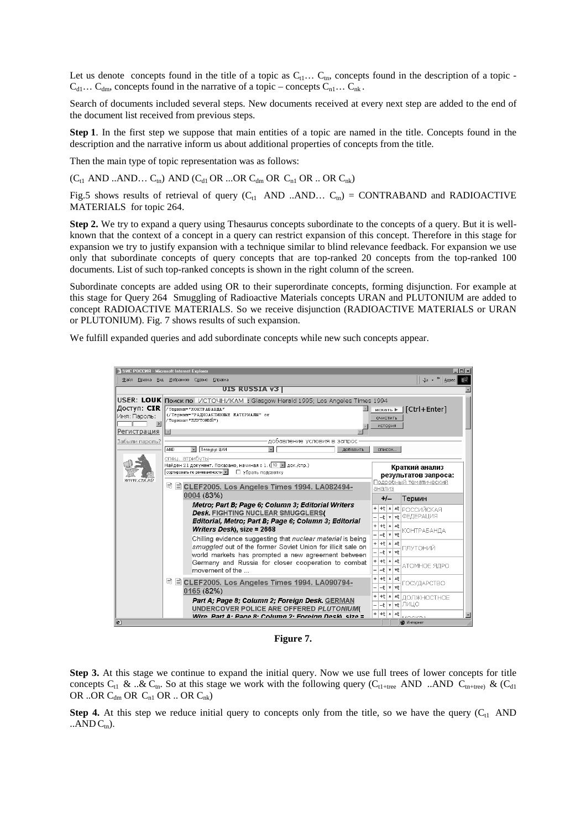Let us denote concepts found in the title of a topic as  $C_{t1} \ldots C_{tn}$ , concepts found in the description of a topic - $C_{d1} \ldots C_{dm}$ , concepts found in the narrative of a topic – concepts  $C_{n1} \ldots C_{nk}$ .

Search of documents included several steps. New documents received at every next step are added to the end of the document list received from previous steps.

**Step 1**. In the first step we suppose that main entities of a topic are named in the title. Concepts found in the description and the narrative inform us about additional properties of concepts from the title.

Then the main type of topic representation was as follows:

 $(C_{t1}$  AND ...AND...  $C_{tn}$ ) AND  $(C_{d1}$  OR ...OR  $C_{dm}$  OR  $C_{n1}$  OR ... OR  $C_{nk}$ )

Fig.5 shows results of retrieval of query  $(C_{t1}$  AND ..AND...  $C_{tn}$ ) = CONTRABAND and RADIOACTIVE MATERIALS for topic 264.

**Step 2.** We try to expand a query using Thesaurus concepts subordinate to the concepts of a query. But it is wellknown that the context of a concept in a query can restrict expansion of this concept. Therefore in this stage for expansion we try to justify expansion with a technique similar to blind relevance feedback. For expansion we use only that subordinate concepts of query concepts that are top-ranked 20 concepts from the top-ranked 100 documents. List of such top-ranked concepts is shown in the right column of the screen.

Subordinate concepts are added using OR to their superordinate concepts, forming disjunction. For example at this stage for Query 264 Smuggling of Radioactive Materials concepts URAN and PLUTONIUM are added to concept RADIOACTIVE MATERIALS. So we receive disjunction (RADIOACTIVE MATERIALS or URAN or PLUTONIUM). Fig. 7 shows results of such expansion.

We fulfill expanded queries and add subordinate concepts while new such concepts appear.



**Figure 7.** 

**Step 3.** At this stage we continue to expand the initial query. Now we use full trees of lower concepts for title concepts  $C_{t1}$  & ..&  $C_{tn}$ . So at this stage we work with the following query ( $C_{t1+tree}$  AND ..AND  $C_{tn+tree}$ ) & ( $C_{d1}$ OR ..OR  $C_{dm}$  OR  $C_{n1}$  OR .. OR  $C_{nk}$ )

**Step 4.** At this step we reduce initial query to concepts only from the title, so we have the query  $(C_{t1}$  AND  $\ldots$ AND  $C_{tn}$ ).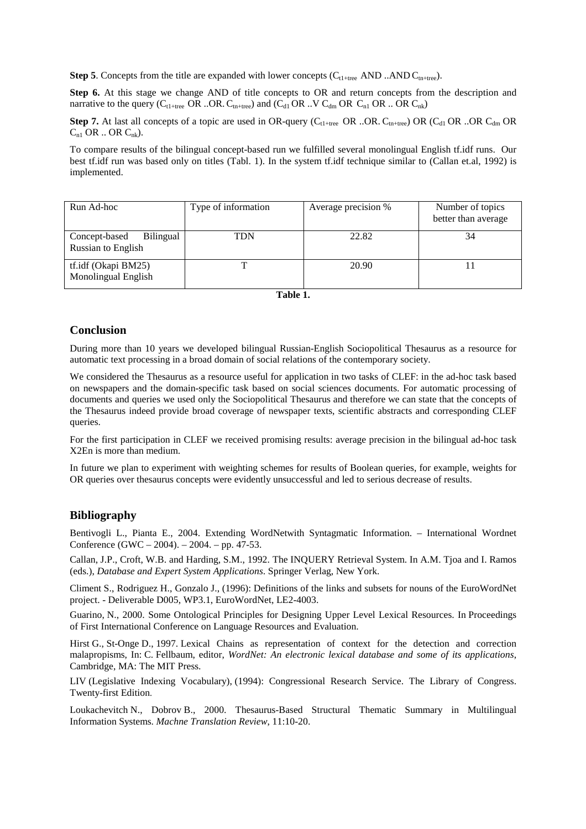**Step 5**. Concepts from the title are expanded with lower concepts  $(C_{t1+tree}$  AND ..AND  $C_{tn+tree}$ .

Step 6. At this stage we change AND of title concepts to OR and return concepts from the description and narrative to the query ( $C_{t1+tree}$  OR ..OR.  $C_{tn+tree}$ ) and ( $C_{d1}$  OR ..V  $C_{dm}$  OR  $C_{n1}$  OR ... OR  $C_{nk}$ )

**Step 7.** At last all concepts of a topic are used in OR-query ( $C_{t1+tree}$  OR ..OR.  $C_{t1+tree}$ ) OR ( $C_{d1}$  OR ..OR  $C_{dm}$  OR  $C_{n1}$  OR .. OR  $C_{nk}$ ).

To compare results of the bilingual concept-based run we fulfilled several monolingual English tf.idf runs. Our best tf.idf run was based only on titles (Tabl. 1). In the system tf.idf technique similar to (Callan et.al, 1992) is implemented.

| Run Ad-hoc                                              | Type of information | Average precision % | Number of topics<br>better than average |
|---------------------------------------------------------|---------------------|---------------------|-----------------------------------------|
| <b>Bilingual</b><br>Concept-based<br>Russian to English | <b>TDN</b>          | 22.82               | 34                                      |
| tf.idf (Okapi BM25)<br>Monolingual English              |                     | 20.90               |                                         |

# **Conclusion**

During more than 10 years we developed bilingual Russian-English Sociopolitical Thesaurus as a resource for automatic text processing in a broad domain of social relations of the contemporary society.

We considered the Thesaurus as a resource useful for application in two tasks of CLEF: in the ad-hoc task based on newspapers and the domain-specific task based on social sciences documents. For automatic processing of documents and queries we used only the Sociopolitical Thesaurus and therefore we can state that the concepts of the Thesaurus indeed provide broad coverage of newspaper texts, scientific abstracts and corresponding CLEF queries.

For the first participation in CLEF we received promising results: average precision in the bilingual ad-hoc task X2En is more than medium.

In future we plan to experiment with weighting schemes for results of Boolean queries, for example, weights for OR queries over thesaurus concepts were evidently unsuccessful and led to serious decrease of results.

## **Bibliography**

Bentivogli L., Pianta E., 2004. Extending WordNetwith Syntagmatic Information. – International Wordnet Conference (GWC – 2004). – 2004. – pp. 47-53.

Callan, J.P., Croft, W.B. and Harding, S.M., 1992. The INQUERY Retrieval System. In A.M. Tjoa and I. Ramos (eds.), *Database and Expert System Applications*. Springer Verlag, New York.

Climent S., Rodriguez H., Gonzalo J., (1996): Definitions of the links and subsets for nouns of the EuroWordNet project. - Deliverable D005, WP3.1, EuroWordNet, LE2-4003.

Guarino, N., 2000. Some Ontological Principles for Designing Upper Level Lexical Resources. In Proceedings of First International Conference on Language Resources and Evaluation.

Hirst G., St-Onge D., 1997. Lexical Chains as representation of context for the detection and correction malapropisms, In: C. Fellbaum, editor, *WordNet: An electronic lexical database and some of its applications*, Cambridge, MA: The MIT Press.

LIV (Legislative Indexing Vocabulary), (1994): Congressional Research Service. The Library of Congress. Twenty-first Edition.

Loukachevitch N., Dobrov B., 2000. Thesaurus-Based Structural Thematic Summary in Multilingual Information Systems. *Machne Translation Review*, 11:10-20.